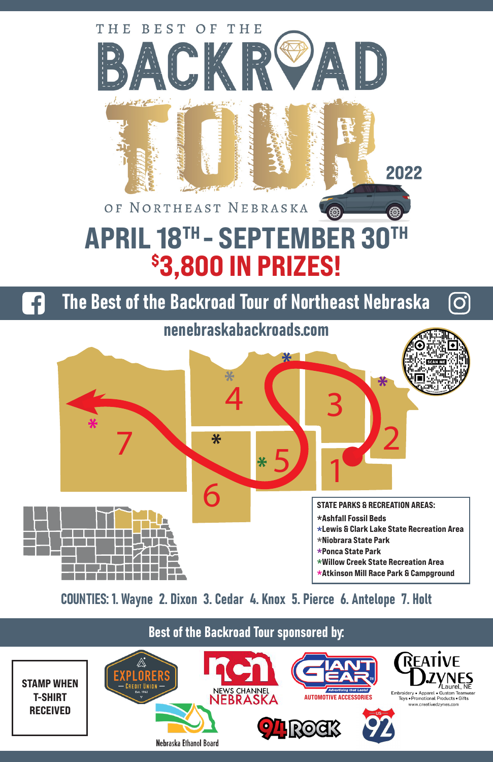

COUNTIES: 1. Wayne 2. Dixon 3. Cedar 4. Knox 5. Pierce 6. Antelope 7. Holt

## Best of the Backroad Tour sponsored by:

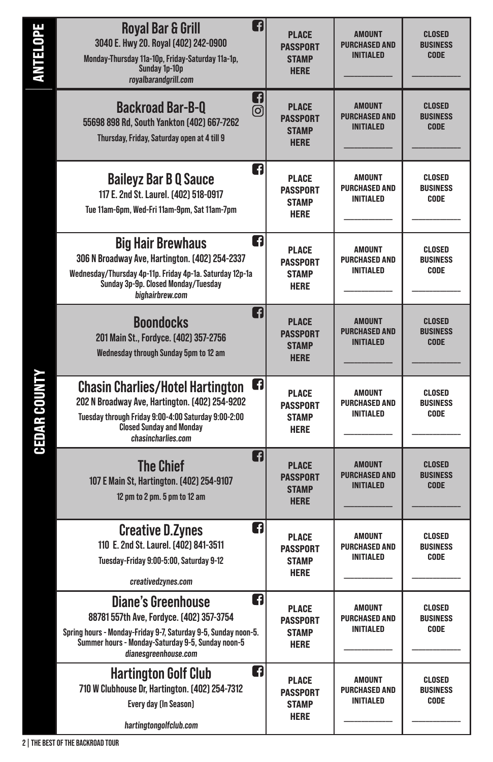| <b>ANTELOPE</b>     | A<br><b>Royal Bar &amp; Grill</b><br>3040 E. Hwy 20. Royal (402) 242-0900<br>Monday-Thursday 11a-10p, Friday-Saturday 11a-1p,<br>Sunday 1p-10p<br>royalbarandgrill.com                                                    | <b>PLACE</b><br><b>PASSPORT</b><br><b>STAMP</b><br><b>HERE</b> | <b>AMOUNT</b><br><b>PURCHASED AND</b><br><b>INITIALED</b> | <b>CLOSED</b><br><b>BUSINESS</b><br><b>CODE</b> |
|---------------------|---------------------------------------------------------------------------------------------------------------------------------------------------------------------------------------------------------------------------|----------------------------------------------------------------|-----------------------------------------------------------|-------------------------------------------------|
|                     | Q<br><b>Backroad Bar-B-Q</b><br>ල)<br>55698 898 Rd, South Yankton (402) 667-7262<br>Thursday, Friday, Saturday open at 4 till 9                                                                                           | <b>PLACE</b><br><b>PASSPORT</b><br><b>STAMP</b><br><b>HERE</b> | <b>AMOUNT</b><br><b>PURCHASED AND</b><br><b>INITIALED</b> | <b>CLOSED</b><br><b>BUSINESS</b><br><b>CODE</b> |
|                     | n<br><b>Baileyz Bar B Q Sauce</b><br>117 E. 2nd St. Laurel. (402) 518-0917<br>Tue 11am-6pm, Wed-Fri 11am-9pm, Sat 11am-7pm                                                                                                | <b>PLACE</b><br><b>PASSPORT</b><br><b>STAMP</b><br><b>HERE</b> | <b>AMOUNT</b><br><b>PURCHASED AND</b><br><b>INITIALED</b> | CLOSED<br><b>BUSINESS</b><br><b>CODE</b>        |
|                     | n<br><b>Big Hair Brewhaus</b><br>306 N Broadway Ave, Hartington. [402] 254-2337<br>Wednesday/Thursday 4p-11p. Friday 4p-1a. Saturday 12p-1a<br>Sunday 3p-9p. Closed Monday/Tuesday<br>bighairbrew.com                     | <b>PLACE</b><br><b>PASSPORT</b><br><b>STAMP</b><br><b>HERE</b> | <b>AMOUNT</b><br><b>PURCHASED AND</b><br><b>INITIALED</b> | CLOSED<br><b>BUSINESS</b><br><b>CODE</b>        |
|                     | A<br><b>Boondocks</b><br>201 Main St., Fordyce. [402] 357-2756<br>Wednesday through Sunday 5pm to 12 am                                                                                                                   | <b>PLACE</b><br><b>PASSPORT</b><br><b>STAMP</b><br><b>HERE</b> | <b>AMOUNT</b><br><b>PURCHASED AND</b><br><b>INITIALED</b> | <b>CLOSED</b><br><b>BUSINESS</b><br><b>CODE</b> |
| <b>CEDAR COUNTY</b> | G<br><b>Chasin Charlies/Hotel Hartington</b><br>202 N Broadway Ave, Hartington. [402] 254-9202<br>Tuesday through Friday 9:00-4:00 Saturday 9:00-2:00<br><b>Closed Sunday and Monday</b><br>chasincharlies.com            | <b>PLACE</b><br><b>PASSPORT</b><br><b>STAMP</b><br><b>HERE</b> | <b>AMOUNT</b><br><b>PURCHASED AND</b><br><b>INITIALED</b> | CLOSED<br><b>BUSINESS</b><br><b>CODE</b>        |
|                     | A<br><b>The Chief</b><br>107 E Main St, Hartington. [402] 254-9107<br>12 pm to 2 pm. 5 pm to 12 am                                                                                                                        | <b>PLACE</b><br><b>PASSPORT</b><br><b>STAMP</b><br><b>HERE</b> | <b>AMOUNT</b><br><b>PURCHASED AND</b><br><b>INITIALED</b> | <b>CLOSED</b><br><b>BUSINESS</b><br><b>CODE</b> |
|                     | n<br><b>Creative D.Zynes</b><br>110 E. 2nd St. Laurel. [402] 841-3511<br>Tuesday-Friday 9:00-5:00, Saturday 9-12<br>creativedzynes.com                                                                                    | <b>PLACE</b><br><b>PASSPORT</b><br><b>STAMP</b><br><b>HERE</b> | <b>AMOUNT</b><br><b>PURCHASED AND</b><br><b>INITIALED</b> | CLOSED<br><b>BUSINESS</b><br><b>CODE</b>        |
|                     | n<br><b>Diane's Greenhouse</b><br>88781 557th Ave, Fordyce. [402] 357-3754<br>Spring hours - Monday-Friday 9-7, Saturday 9-5, Sunday noon-5.<br>Summer hours - Monday-Saturday 9-5, Sunday noon-5<br>dianesgreenhouse.com | <b>PLACE</b><br><b>PASSPORT</b><br><b>STAMP</b><br><b>HERE</b> | <b>AMOUNT</b><br><b>PURCHASED AND</b><br><b>INITIALED</b> | CLOSED<br><b>BUSINESS</b><br>CODE               |
|                     | n<br><b>Hartington Golf Club</b><br>710 W Clubhouse Dr, Hartington. [402] 254-7312<br>Every day (In Season)<br>hartingtongolfclub.com                                                                                     | <b>PLACE</b><br><b>PASSPORT</b><br><b>STAMP</b><br><b>HERE</b> | AMOUNT<br><b>PURCHASED AND</b><br><b>INITIALED</b>        | CLOSED<br><b>BUSINESS</b><br>CODE               |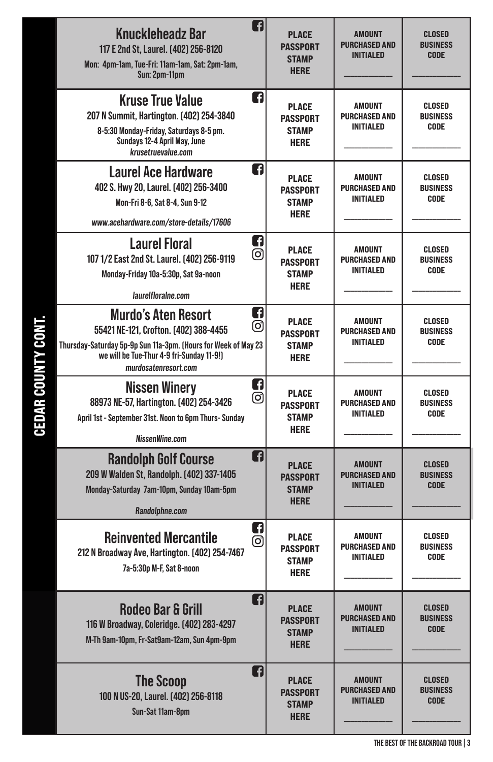| f<br><b>Knuckleheadz Bar</b><br>117 E 2nd St, Laurel. (402) 256-8120<br>Mon: 4pm-1am, Tue-Fri: 11am-1am, Sat: 2pm-1am,<br>Sun: 2pm-11pm                                                                               | <b>PLACE</b><br><b>PASSPORT</b><br><b>STAMP</b><br><b>HERE</b> | <b>AMOUNT</b><br><b>PURCHASED AND</b><br><b>INITIALED</b> | <b>CLOSED</b><br><b>BUSINESS</b><br><b>CODE</b> |
|-----------------------------------------------------------------------------------------------------------------------------------------------------------------------------------------------------------------------|----------------------------------------------------------------|-----------------------------------------------------------|-------------------------------------------------|
| n<br><b>Kruse True Value</b><br>207 N Summit, Hartington. [402] 254-3840<br>8-5:30 Monday-Friday, Saturdays 8-5 pm.<br>Sundays 12-4 April May, June<br>krusetruevalue.com                                             | <b>PLACE</b><br><b>PASSPORT</b><br><b>STAMP</b><br><b>HERE</b> | <b>AMOUNT</b><br><b>PURCHASED AND</b><br><b>INITIALED</b> | <b>CLOSED</b><br><b>BUSINESS</b><br><b>CODE</b> |
| n<br><b>Laurel Ace Hardware</b><br>402 S. Hwy 20, Laurel. (402) 256-3400<br>Mon-Fri 8-6, Sat 8-4, Sun 9-12<br>www.acehardware.com/store-details/17606                                                                 | <b>PLACE</b><br><b>PASSPORT</b><br><b>STAMP</b><br><b>HERE</b> | AMOUNT<br><b>PURCHASED AND</b><br><b>INITIALED</b>        | CLOSED<br><b>BUSINESS</b><br>CODE               |
| Q<br><b>Laurel Floral</b><br>ල<br>107 1/2 East 2nd St. Laurel. (402) 256-9119<br>Monday-Friday 10a-5:30p, Sat 9a-noon<br>laurelfloralne.com                                                                           | <b>PLACE</b><br><b>PASSPORT</b><br><b>STAMP</b><br><b>HERE</b> | <b>AMOUNT</b><br><b>PURCHASED AND</b><br><b>INITIALED</b> | CLOSED<br><b>BUSINESS</b><br><b>CODE</b>        |
| Q<br><b>Murdo's Aten Resort</b><br>ල)<br>55421 NE-121, Crofton. [402] 388-4455<br>Thursday-Saturday 5p-9p Sun 11a-3pm. (Hours for Week of May 23<br>we will be Tue-Thur 4-9 fri-Sunday 11-9!]<br>murdosatenresort.com | <b>PLACE</b><br><b>PASSPORT</b><br><b>STAMP</b><br><b>HERE</b> | <b>AMOUNT</b><br><b>PURCHASED AND</b><br><b>INITIALED</b> | CLOSED<br><b>BUSINESS</b><br>CODE               |
| ŋ<br><b>Nissen Winery</b><br>ତା<br>88973 NE-57, Hartington. [402] 254-3426<br>April 1st - September 31st. Noon to 6pm Thurs- Sunday<br>NissenWine.com                                                                 | <b>PLACE</b><br><b>PASSPORT</b><br><b>STAMP</b><br><b>HERE</b> | <b>AMOUNT</b><br><b>PURCHASED AND</b><br><b>INITIALED</b> | CLOSED<br><b>BUSINESS</b><br><b>CODE</b>        |
| n<br><b>Randolph Golf Course</b><br>209 W Walden St, Randolph. [402] 337-1405<br>Monday-Saturday 7am-10pm, Sunday 10am-5pm<br>Randolphne.com                                                                          | <b>PLACE</b><br><b>PASSPORT</b><br><b>STAMP</b><br><b>HERE</b> | <b>AMOUNT</b><br><b>PURCHASED AND</b><br><b>INITIALED</b> | <b>CLOSED</b><br><b>BUSINESS</b><br><b>CODE</b> |
| G<br><b>Reinvented Mercantile</b><br>ල<br>212 N Broadway Ave, Hartington. [402] 254-7467<br>7a-5:30p M-F, Sat 8-noon                                                                                                  | <b>PLACE</b><br><b>PASSPORT</b><br><b>STAMP</b><br><b>HERE</b> | <b>AMOUNT</b><br><b>PURCHASED AND</b><br><b>INITIALED</b> | CLOSED<br><b>BUSINESS</b><br>CODE               |
| G<br><b>Rodeo Bar &amp; Grill</b><br>116 W Broadway, Coleridge. [402] 283-4297<br>M-Th 9am-10pm, Fr-Sat9am-12am, Sun 4pm-9pm                                                                                          | <b>PLACE</b><br><b>PASSPORT</b><br><b>STAMP</b><br><b>HERE</b> | <b>AMOUNT</b><br><b>PURCHASED AND</b><br><b>INITIALED</b> | <b>CLOSED</b><br><b>BUSINESS</b><br><b>CODE</b> |
| Q<br><b>The Scoop</b><br>100 N US-20, Laurel. (402) 256-8118<br>Sun-Sat 11am-8pm                                                                                                                                      | <b>PLACE</b><br><b>PASSPORT</b><br><b>STAMP</b><br><b>HERE</b> | <b>AMOUNT</b><br><b>PURCHASED AND</b><br><b>INITIALED</b> | <b>CLOSED</b><br><b>BUSINESS</b><br><b>CODE</b> |

CEDAR COUNTY CONT. CEDAR COUNTY CONT.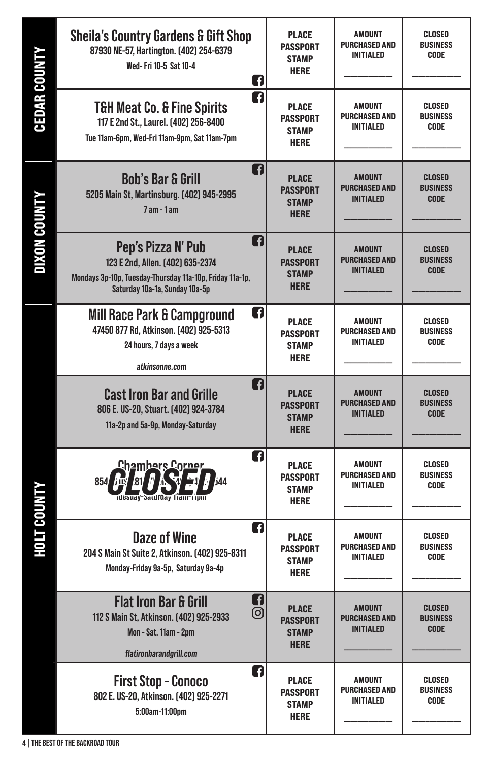| <b>CEDAR COUNTY</b> | <b>Sheila's Country Gardens &amp; Gift Shop</b><br>87930 NE-57, Hartington. (402) 254-6379<br>Wed-Fri 10-5 Sat 10-4<br>G                                  | <b>PLACE</b><br><b>PASSPORT</b><br><b>STAMP</b><br><b>HERE</b> | AMOUNT<br><b>PURCHASED AND</b><br><b>INITIALED</b>        | CLOSED<br><b>BUSINESS</b><br>CODE               |
|---------------------|-----------------------------------------------------------------------------------------------------------------------------------------------------------|----------------------------------------------------------------|-----------------------------------------------------------|-------------------------------------------------|
|                     | n<br><b>T&amp;H Meat Co. &amp; Fine Spirits</b><br>117 E 2nd St., Laurel. (402) 256-8400<br>Tue 11am-6pm, Wed-Fri 11am-9pm, Sat 11am-7pm                  | <b>PLACE</b><br><b>PASSPORT</b><br><b>STAMP</b><br><b>HERE</b> | <b>AMOUNT</b><br><b>PURCHASED AND</b><br><b>INITIALED</b> | CLOSED<br><b>BUSINESS</b><br><b>CODE</b>        |
|                     | G<br><b>Bob's Bar &amp; Grill</b><br>5205 Main St, Martinsburg. [402] 945-2995<br>$7$ am - $1$ am                                                         | <b>PLACE</b><br><b>PASSPORT</b><br><b>STAMP</b><br><b>HERE</b> | <b>AMOUNT</b><br><b>PURCHASED AND</b><br><b>INITIALED</b> | <b>CLOSED</b><br><b>BUSINESS</b><br><b>CODE</b> |
| <b>DIXON COUNTY</b> | Q<br>Pep's Pizza N' Pub<br>123 E 2nd, Allen. (402) 635-2374<br>Mondays 3p-10p, Tuesday-Thursday 11a-10p, Friday 11a-1p,<br>Saturday 10a-1a, Sunday 10a-5p | <b>PLACE</b><br><b>PASSPORT</b><br><b>STAMP</b><br><b>HERE</b> | <b>AMOUNT</b><br><b>PURCHASED AND</b><br><b>INITIALED</b> | <b>CLOSED</b><br><b>BUSINESS</b><br><b>CODE</b> |
| <b>HOLT COUNTY</b>  | n<br><b>Mill Race Park &amp; Campground</b><br>47450 877 Rd, Atkinson. [402] 925-5313<br>24 hours, 7 days a week<br>atkinsonne.com                        | <b>PLACE</b><br><b>PASSPORT</b><br><b>STAMP</b><br><b>HERE</b> | <b>AMOUNT</b><br><b>PURCHASED AND</b><br><b>INITIALED</b> | CLOSED<br><b>BUSINESS</b><br>CODE               |
|                     | A<br><b>Cast Iron Bar and Grille</b><br>806 E. US-20, Stuart. (402) 924-3784<br>11a-2p and 5a-9p, Monday-Saturday                                         | <b>PLACE</b><br><b>PASSPORT</b><br><b>STAMP</b><br><b>HERE</b> | <b>AMOUNT</b><br>Purchased and<br><b>INITIALED</b>        | <b>CLOSED</b><br><b>BUSINESS</b><br><b>CODE</b> |
|                     | n<br><u> Chambers Corner</u><br>$854$ $\overline{151}$<br>i44<br><b>Tuesuay-Saturday Fram-Tipm</b>                                                        | <b>PLACE</b><br><b>PASSPORT</b><br><b>STAMP</b><br><b>HERE</b> | <b>AMOUNT</b><br><b>PURCHASED AND</b><br><b>INITIALED</b> | CLOSED<br><b>BUSINESS</b><br><b>CODE</b>        |
|                     | G<br><b>Daze of Wine</b><br>204 S Main St Suite 2, Atkinson. [402] 925-8311<br>Monday-Friday 9a-5p, Saturday 9a-4p                                        | <b>PLACE</b><br><b>PASSPORT</b><br><b>STAMP</b><br><b>HERE</b> | <b>AMOUNT</b><br><b>PURCHASED AND</b><br>INITIALED        | CLOSED<br><b>BUSINESS</b><br>CODE               |
|                     | Q<br><b>Flat Iron Bar &amp; Grill</b><br>ම<br>112 S Main St, Atkinson. [402] 925-2933<br>Mon - Sat. 11am - 2pm<br>flatironbarandgrill.com                 | <b>PLACE</b><br><b>PASSPORT</b><br><b>STAMP</b><br><b>HERE</b> | <b>AMOUNT</b><br><b>PURCHASED AND</b><br><b>INITIALED</b> | <b>CLOSED</b><br><b>BUSINESS</b><br><b>CODE</b> |
|                     | A<br><b>First Stop - Conoco</b><br>802 E. US-20, Atkinson. [402] 925-2271<br>5:00am-11:00pm                                                               | PLACE<br><b>PASSPORT</b><br>STAMP<br><b>HERE</b>               | <b>AMOUNT</b><br><b>PURCHASED AND</b><br><b>INITIALED</b> | CLOSED<br><b>BUSINESS</b><br>CODE               |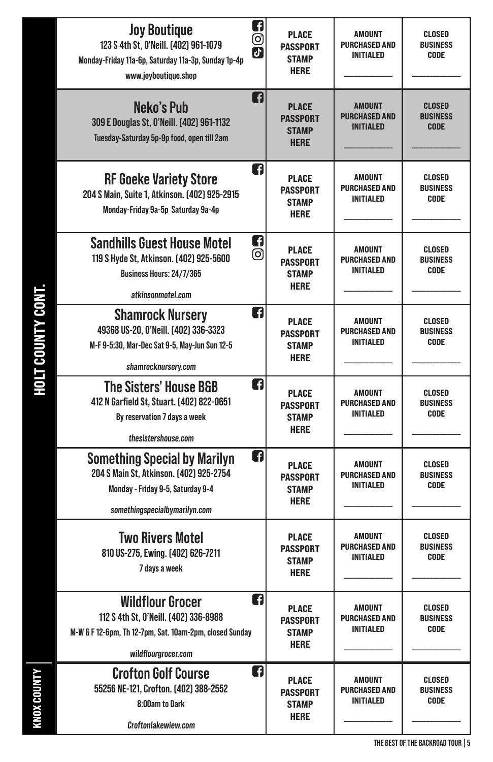| n<br><b>Joy Boutique</b><br>ල<br>123 S 4th St, 0'Neill. [402] 961-1079<br>$\overline{d}$<br>Monday-Friday 11a-6p, Saturday 11a-3p, Sunday 1p-4p<br>www.joyboutique.shop | <b>PLACE</b><br><b>PASSPORT</b><br><b>STAMP</b><br><b>HERE</b> | AMOUNT<br><b>PURCHASED AND</b><br><b>INITIALED</b>        | CLOSED<br><b>BUSINESS</b><br>CODE               |
|-------------------------------------------------------------------------------------------------------------------------------------------------------------------------|----------------------------------------------------------------|-----------------------------------------------------------|-------------------------------------------------|
| n<br>Neko's Pub<br>309 E Douglas St, 0'Neill. (402) 961-1132<br>Tuesday-Saturday 5p-9p food, open till 2am                                                              | <b>PLACE</b><br><b>PASSPORT</b><br><b>STAMP</b><br><b>HERE</b> | <b>AMOUNT</b><br><b>PURCHASED AND</b><br><b>INITIALED</b> | <b>CLOSED</b><br><b>BUSINESS</b><br><b>CODE</b> |
| A<br><b>RF Goeke Variety Store</b><br>204 S Main, Suite 1, Atkinson. [402] 925-2915<br>Monday-Friday 9a-5p Saturday 9a-4p                                               | <b>PLACE</b><br><b>PASSPORT</b><br><b>STAMP</b><br><b>HERE</b> | AMOUNT<br><b>PURCHASED AND</b><br><b>INITIALED</b>        | <b>CLOSED</b><br><b>BUSINESS</b><br>CODE        |
| ŋ<br><b>Sandhills Guest House Motel</b><br>ල<br>119 S Hyde St, Atkinson. [402] 925-5600<br>Business Hours: 24/7/365<br>atkinsonmotel.com                                | <b>PLACE</b><br><b>PASSPORT</b><br><b>STAMP</b><br><b>HERE</b> | <b>AMOUNT</b><br><b>PURCHASED AND</b><br><b>INITIALED</b> | CLOSED<br><b>BUSINESS</b><br>CODE               |
| A<br><b>Shamrock Nursery</b><br>49368 US-20, 0'Neill. [402] 336-3323<br>M-F 9-5:30, Mar-Dec Sat 9-5, May-Jun Sun 12-5<br>shamrocknursery.com                            | <b>PLACE</b><br><b>PASSPORT</b><br><b>STAMP</b><br><b>HERE</b> | <b>AMOUNT</b><br><b>PURCHASED AND</b><br><b>INITIALED</b> | <b>CLOSED</b><br><b>BUSINESS</b><br>CODE        |
| n<br><b>The Sisters' House B&amp;B</b><br>412 N Garfield St, Stuart. (402) 822-0651<br>By reservation 7 days a week<br>thesistershouse.com                              | <b>PLACE</b><br><b>PASSPORT</b><br><b>STAMP</b><br><b>HERE</b> | AMOUNT<br><b>PURCHASED AND</b><br><b>INITIALED</b>        | CLOSED<br><b>BUSINESS</b><br>CODE               |
| A<br><b>Something Special by Marilyn</b><br>204 S Main St, Atkinson. [402] 925-2754<br>Monday - Friday 9-5, Saturday 9-4<br>somethingspecialbymarilyn.com               | <b>PLACE</b><br><b>PASSPORT</b><br><b>STAMP</b><br><b>HERE</b> | <b>AMOUNT</b><br><b>PURCHASED AND</b><br><b>INITIALED</b> | CLOSED<br><b>BUSINESS</b><br>CODE               |
| <b>Two Rivers Motel</b><br>810 US-275, Ewing. (402) 626-7211<br>7 days a week                                                                                           | <b>PLACE</b><br><b>PASSPORT</b><br><b>STAMP</b><br><b>HERE</b> | AMOUNT<br><b>PURCHASED AND</b><br>INITIALED               | CLOSED<br><b>BUSINESS</b><br>CODE               |
| n<br><b>Wildflour Grocer</b><br>112 S 4th St, 0'Neill. [402] 336-8988<br>M-W & F 12-6pm, Th 12-7pm, Sat. 10am-2pm, closed Sunday<br>wildflourgrocer.com                 | PLACE<br><b>PASSPORT</b><br><b>STAMP</b><br><b>HERE</b>        | AMOUNT<br><b>PURCHASED AND</b><br>INITIALED               | CLOSED<br><b>BUSINESS</b><br>CODE               |
| ŋ<br><b>Crofton Golf Course</b><br>55256 NE-121, Crofton. (402) 388-2552<br>8:00am to Dark<br>Croftonlakewiew.com                                                       | PLACE<br><b>PASSPORT</b><br>STAMP<br><b>HERE</b>               | <b>AMOUNT</b><br><b>PURCHASED AND</b><br>INITIALED        | CLOSED<br><b>BUSINESS</b><br>CODE               |

HOLT COUNTY CONT. KNOX COUNTY HOLT COUNTY CONT.

KNOX COUNTY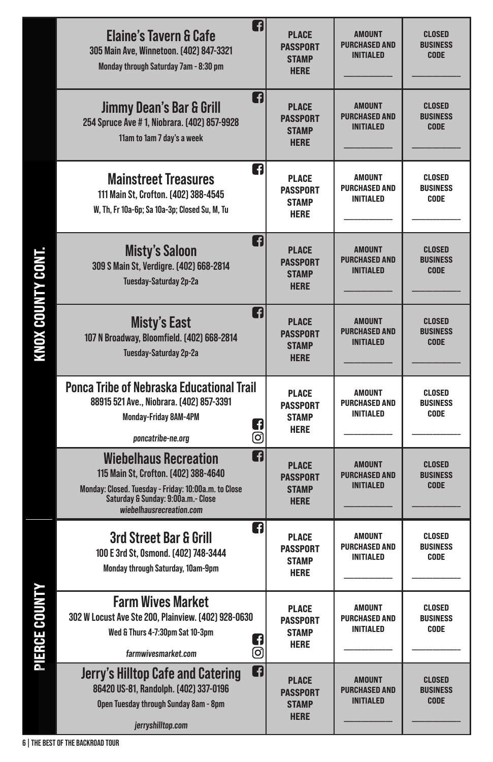|                     | A<br><b>Elaine's Tavern &amp; Cafe</b><br>305 Main Ave, Winnetoon. [402] 847-3321<br>Monday through Saturday 7am - 8:30 pm                                                                          | <b>PLACE</b><br><b>PASSPORT</b><br><b>STAMP</b><br><b>HERE</b> | <b>AMOUNT</b><br><b>PURCHASED AND</b><br><b>INITIALED</b> | <b>CLOSED</b><br><b>BUSINESS</b><br><b>CODE</b> |
|---------------------|-----------------------------------------------------------------------------------------------------------------------------------------------------------------------------------------------------|----------------------------------------------------------------|-----------------------------------------------------------|-------------------------------------------------|
|                     | n<br>Jimmy Dean's Bar & Grill<br>254 Spruce Ave #1, Niobrara. [402] 857-9928<br>11am to 1am 7 day's a week                                                                                          | <b>PLACE</b><br><b>PASSPORT</b><br><b>STAMP</b><br><b>HERE</b> | <b>AMOUNT</b><br><b>PURCHASED AND</b><br><b>INITIALED</b> | <b>CLOSED</b><br><b>BUSINESS</b><br><b>CODE</b> |
|                     | Q<br><b>Mainstreet Treasures</b><br>111 Main St, Crofton. [402] 388-4545<br>W, Th, Fr 10a-6p; Sa 10a-3p; Closed Su, M, Tu                                                                           | <b>PLACE</b><br><b>PASSPORT</b><br><b>STAMP</b><br><b>HERE</b> | <b>AMOUNT</b><br><b>PURCHASED AND</b><br><b>INITIALED</b> | CLOSED<br><b>BUSINESS</b><br>CODE               |
|                     | Q<br><b>Misty's Saloon</b><br>309 S Main St, Verdigre. [402] 668-2814<br>Tuesday-Saturday 2p-2a                                                                                                     | <b>PLACE</b><br><b>PASSPORT</b><br><b>STAMP</b><br><b>HERE</b> | <b>AMOUNT</b><br><b>PURCHASED AND</b><br><b>INITIALED</b> | <b>CLOSED</b><br><b>BUSINESS</b><br><b>CODE</b> |
| ו ויוטע עשטא אשווח. | A<br><b>Misty's East</b><br>107 N Broadway, Bloomfield. (402) 668-2814<br>Tuesday-Saturday 2p-2a                                                                                                    | <b>PLACE</b><br><b>PASSPORT</b><br><b>STAMP</b><br><b>HERE</b> | <b>AMOUNT</b><br><b>PURCHASED AND</b><br><b>INITIALED</b> | <b>CLOSED</b><br><b>BUSINESS</b><br><b>CODE</b> |
|                     | <b>Ponca Tribe of Nebraska Educational Trail</b><br>88915 521 Ave., Niobrara. [402] 857-3391<br>Monday-Friday 8AM-4PM<br>Q<br>ම<br>poncatribe-ne.org                                                | <b>PLACE</b><br><b>PASSPORT</b><br><b>STAMP</b><br><b>HERE</b> | AMOUNT<br><b>PURCHASED AND</b><br><b>INITIALED</b>        | <b>CLOSED</b><br><b>BUSINESS</b><br>CODE        |
|                     | A<br><b>Wiebelhaus Recreation</b><br>115 Main St, Crofton. (402) 388-4640<br>Monday: Closed. Tuesday - Friday: 10:00a.m. to Close<br>Saturday & Sunday: 9:00a.m.- Close<br>wiebelhausrecreation.com | <b>PLACE</b><br><b>PASSPORT</b><br><b>STAMP</b><br><b>HERE</b> | <b>AMOUNT</b><br><b>PURCHASED AND</b><br><b>INITIALED</b> | <b>CLOSED</b><br><b>BUSINESS</b><br><b>CODE</b> |
|                     | ŋ<br><b>3rd Street Bar &amp; Grill</b><br>100 E 3rd St, 0smond. [402] 748-3444<br>Monday through Saturday, 10am-9pm                                                                                 | PLACE<br><b>PASSPORT</b><br><b>STAMP</b><br><b>HERE</b>        | <b>AMOUNT</b><br><b>PURCHASED AND</b><br><b>INITIALED</b> | <b>CLOSED</b><br><b>BUSINESS</b><br>CODE        |
| F IENVE VVVII I     | <b>Farm Wives Market</b><br>302 W Locust Ave Ste 200, Plainview. [402] 928-0630<br>Wed & Thurs 4-7:30pm Sat 10-3pm<br>Q<br>ම<br>farmwivesmarket.com                                                 | PLACE<br>PASSPORT<br><b>STAMP</b><br><b>HERE</b>               | <b>AMOUNT</b><br><b>PURCHASED AND</b><br><b>INITIALED</b> | CLOSED<br><b>BUSINESS</b><br>CODE               |
|                     | ក<br><b>Jerry's Hilltop Cafe and Catering</b><br>86420 US-81, Randolph. [402] 337-0196<br>Open Tuesday through Sunday 8am - 8pm<br>jerryshilltop.com                                                | <b>PLACE</b><br><b>PASSPORT</b><br><b>STAMP</b><br><b>HERE</b> | <b>AMOUNT</b><br><b>PURCHASED AND</b><br><b>INITIALED</b> | <b>CLOSED</b><br><b>BUSINESS</b><br><b>CODE</b> |

RNUX COINTY CONT KNOX COUNTY CONT.

**DIERCE COINTY** PIERCE COUNTY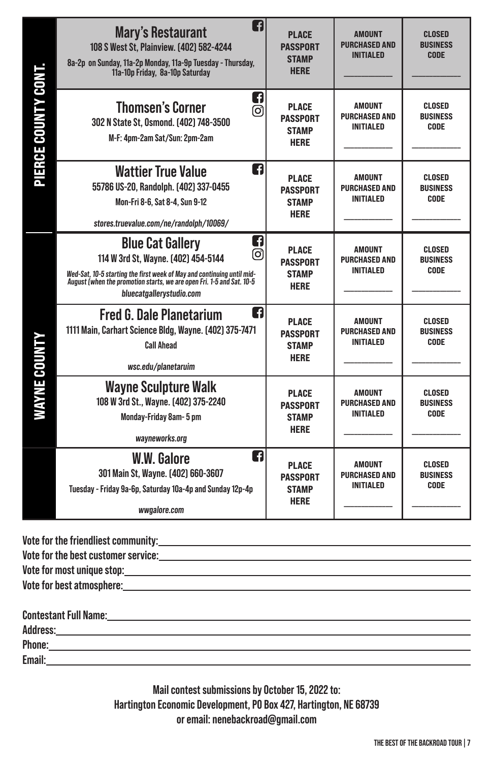|                    | f<br><b>Mary's Restaurant</b><br>108 S West St, Plainview. [402] 582-4244<br>8a-2p on Sunday, 11a-2p Monday, 11a-9p Tuesday - Thursday,<br>11a-10p Friday, 8a-10p Saturday                                                                              | <b>PLACE</b><br><b>PASSPORT</b><br><b>STAMP</b><br><b>HERE</b> | <b>AMOUNT</b><br><b>PURCHASED AND</b><br><b>INITIALED</b> | <b>CLOSED</b><br><b>BUSINESS</b><br><b>CODE</b> |
|--------------------|---------------------------------------------------------------------------------------------------------------------------------------------------------------------------------------------------------------------------------------------------------|----------------------------------------------------------------|-----------------------------------------------------------|-------------------------------------------------|
| PIERCE COUNTY CONT | Q<br><b>Thomsen's Corner</b><br>രി<br>302 N State St, Osmond. [402] 748-3500<br>M-F: 4pm-2am Sat/Sun: 2pm-2am                                                                                                                                           | <b>PLACE</b><br><b>PASSPORT</b><br><b>STAMP</b><br><b>HERE</b> | <b>AMOUNT</b><br><b>PURCHASED AND</b><br><b>INITIALED</b> | <b>CLOSED</b><br><b>BUSINESS</b><br><b>CODE</b> |
|                    | n<br><b>Wattier True Value</b><br>55786 US-20, Randolph. [402] 337-0455<br>Mon-Fri 8-6, Sat 8-4, Sun 9-12<br>stores.truevalue.com/ne/randolph/10069/                                                                                                    | <b>PLACE</b><br><b>PASSPORT</b><br><b>STAMP</b><br><b>HERE</b> | <b>AMOUNT</b><br><b>PURCHASED AND</b><br><b>INITIALED</b> | CLOSED<br><b>BUSINESS</b><br><b>CODE</b>        |
|                    | ŋ<br><b>Blue Cat Gallery</b><br>ල<br>114 W 3rd St, Wayne. [402] 454-5144<br>Wed-Sat, 10-5 starting the first week of May and continuing until mid-<br>August (when the promotion starts, we are open Fri. 1-5 and Sat. 10-5<br>bluecatgallerystudio.com | <b>PLACE</b><br><b>PASSPORT</b><br><b>STAMP</b><br><b>HERE</b> | <b>AMOUNT</b><br><b>PURCHASED AND</b><br><b>INITIALED</b> | <b>CLOSED</b><br><b>BUSINESS</b><br><b>CODE</b> |
| WAYNE COUNTY       | n<br><b>Fred G. Dale Planetarium</b><br>1111 Main, Carhart Science Bldg, Wayne. [402] 375-7471<br><b>Call Ahead</b><br>wsc.edu/planetaruim                                                                                                              | <b>PLACE</b><br><b>PASSPORT</b><br><b>STAMP</b><br><b>HERE</b> | <b>AMOUNT</b><br><b>PURCHASED AND</b><br><b>INITIALED</b> | <b>CLOSED</b><br><b>BUSINESS</b><br>CODE        |
|                    | <b>Wayne Sculpture Walk</b><br>108 W 3rd St., Wayne. [402] 375-2240<br>Monday-Friday 8am-5 pm<br>wayneworks.org                                                                                                                                         | <b>PLACE</b><br><b>PASSPORT</b><br><b>STAMP</b><br><b>HERE</b> | <b>AMOUNT</b><br><b>PURCHASED AND</b><br><b>INITIALED</b> | <b>CLOSED</b><br><b>BUSINESS</b><br><b>CODE</b> |
|                    | n<br><b>W.W. Galore</b><br>301 Main St, Wayne. [402] 660-3607<br>Tuesday - Friday 9a-6p, Saturday 10a-4p and Sunday 12p-4p<br>wwgalore.com                                                                                                              | <b>PLACE</b><br><b>PASSPORT</b><br><b>STAMP</b><br><b>HERE</b> | <b>AMOUNT</b><br><b>PURCHASED AND</b><br><b>INITIALED</b> | <b>CLOSED</b><br><b>BUSINESS</b><br><b>CODE</b> |

| Vote for the best customer service: University of the service of the service of the service of the service of the service of the service of the service of the service of the service of the service of the service of the ser |
|--------------------------------------------------------------------------------------------------------------------------------------------------------------------------------------------------------------------------------|
|                                                                                                                                                                                                                                |
| Vote for best atmosphere: when the state of the state of the state of the state of the state of the state of the state of the state of the state of the state of the state of the state of the state of the state of the state |
|                                                                                                                                                                                                                                |

| Address:<br>Phone: | <b>Contestant Full Name:</b> |  |  |
|--------------------|------------------------------|--|--|
|                    |                              |  |  |
|                    |                              |  |  |
|                    | Email:                       |  |  |

**Mail contest submissions by October 15, 2022 to: Hartington Economic Development, PO Box 427, Hartington, NE 68739 or email: nenebackroad@gmail.com**